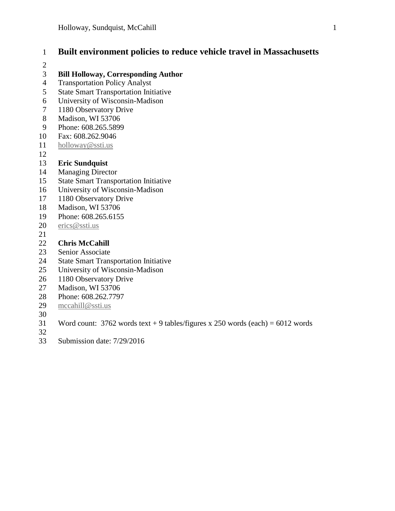## **Built environment policies to reduce vehicle travel in Massachusetts**

#### **Bill Holloway, Corresponding Author**

- Transportation Policy Analyst
- State Smart Transportation Initiative
- University of Wisconsin-Madison
- 1180 Observatory Drive
- Madison, WI 53706
- Phone: 608.265.5899
- Fax: 608.262.9046
- [holloway@ssti.us](mailto:holloway@ssti.us)
- 

#### **Eric Sundquist**

- Managing Director
- State Smart Transportation Initiative
- University of Wisconsin-Madison
- 1180 Observatory Drive
- Madison, WI 53706
- Phone: 608.265.6155
- [erics@ssti.us](mailto:erics@ssti.us)
- 

#### **Chris McCahill**

- Senior Associate
- State Smart Transportation Initiative
- University of Wisconsin-Madison
- 1180 Observatory Drive
- Madison, WI 53706
- Phone: 608.262.7797
- [mccahill@ssti.us](mailto:mccahill@ssti.us)
- 
- 31 Word count: words text + 9 tables/figures x 250 words (each) =  $6012$  words
- 
- Submission date: 7/29/2016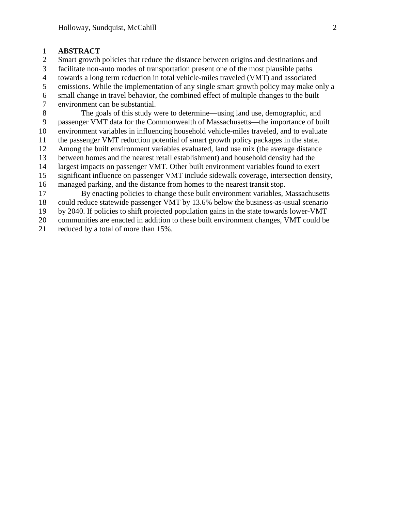#### **ABSTRACT**

Smart growth policies that reduce the distance between origins and destinations and

facilitate non-auto modes of transportation present one of the most plausible paths

towards a long term reduction in total vehicle-miles traveled (VMT) and associated

emissions. While the implementation of any single smart growth policy may make only a

 small change in travel behavior, the combined effect of multiple changes to the built environment can be substantial.

 The goals of this study were to determine—using land use, demographic, and passenger VMT data for the Commonwealth of Massachusetts—the importance of built environment variables in influencing household vehicle-miles traveled, and to evaluate the passenger VMT reduction potential of smart growth policy packages in the state. Among the built environment variables evaluated, land use mix (the average distance between homes and the nearest retail establishment) and household density had the largest impacts on passenger VMT. Other built environment variables found to exert significant influence on passenger VMT include sidewalk coverage, intersection density, managed parking, and the distance from homes to the nearest transit stop. By enacting policies to change these built environment variables, Massachusetts could reduce statewide passenger VMT by 13.6% below the business-as-usual scenario

by 2040. If policies to shift projected population gains in the state towards lower-VMT

communities are enacted in addition to these built environment changes, VMT could be

reduced by a total of more than 15%.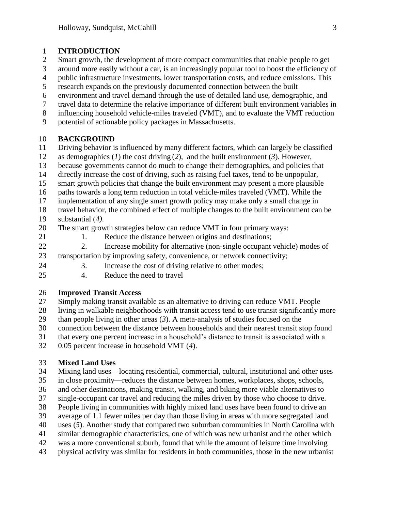#### **INTRODUCTION**

- Smart growth, the development of more compact communities that enable people to get
- around more easily without a car, is an increasingly popular tool to boost the efficiency of
- public infrastructure investments, lower transportation costs, and reduce emissions. This
- research expands on the previously documented connection between the built
- environment and travel demand through the use of detailed land use, demographic, and
- travel data to determine the relative importance of different built environment variables in
- influencing household vehicle-miles traveled (VMT), and to evaluate the VMT reduction
- potential of actionable policy packages in Massachusetts.

#### **BACKGROUND**

- Driving behavior is influenced by many different factors, which can largely be classified
- as demographics (*1*) the cost driving (*2*), and the built environment (*3*). However,
- because governments cannot do much to change their demographics, and policies that
- directly increase the cost of driving, such as raising fuel taxes, tend to be unpopular,
- smart growth policies that change the built environment may present a more plausible
- paths towards a long term reduction in total vehicle-miles traveled (VMT). While the
- implementation of any single smart growth policy may make only a small change in
- travel behavior, the combined effect of multiple changes to the built environment can be
- substantial (*4)*.
- The smart growth strategies below can reduce VMT in four primary ways:
- 
- 21 1. Reduce the distance between origins and destinations;
- 2. Increase mobility for alternative (non-single occupant vehicle) modes of transportation by improving safety, convenience, or network connectivity;
- 3. Increase the cost of driving relative to other modes;
- 4. Reduce the need to travel

### **Improved Transit Access**

- Simply making transit available as an alternative to driving can reduce VMT. People
- living in walkable neighborhoods with transit access tend to use transit significantly more
- than people living in other areas (*3*). A meta-analysis of studies focused on the
- connection between the distance between households and their nearest transit stop found
- that every one percent increase in a household's distance to transit is associated with a
- 0.05 percent increase in household VMT (*4*).

### **Mixed Land Uses**

- Mixing land uses—locating residential, commercial, cultural, institutional and other uses
- in close proximity—reduces the distance between homes, workplaces, shops, schools,
- and other destinations, making transit, walking, and biking more viable alternatives to
- single-occupant car travel and reducing the miles driven by those who choose to drive.
- People living in communities with highly mixed land uses have been found to drive an
- average of 1.1 fewer miles per day than those living in areas with more segregated land
- uses (*5*). Another study that compared two suburban communities in North Carolina with
- similar demographic characteristics, one of which was new urbanist and the other which
- was a more conventional suburb, found that while the amount of leisure time involving
- physical activity was similar for residents in both communities, those in the new urbanist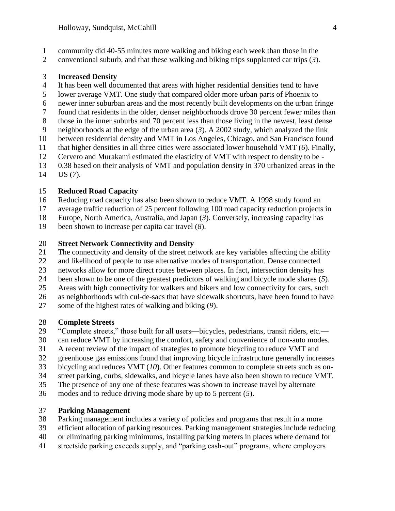- community did 40-55 minutes more walking and biking each week than those in the
- conventional suburb, and that these walking and biking trips supplanted car trips (*3*).

#### **Increased Density**

- It has been well documented that areas with higher residential densities tend to have
- lower average VMT. One study that compared older more urban parts of Phoenix to
- newer inner suburban areas and the most recently built developments on the urban fringe
- found that residents in the older, denser neighborhoods drove 30 percent fewer miles than
- those in the inner suburbs and 70 percent less than those living in the newest, least dense
- neighborhoods at the edge of the urban area (*3*). A 2002 study, which analyzed the link
- between residential density and VMT in Los Angeles, Chicago, and San Francisco found
- that higher densities in all three cities were associated lower household VMT (*6*). Finally,
- Cervero and Murakami estimated the elasticity of VMT with respect to density to be -
- 0.38 based on their analysis of VMT and population density in 370 urbanized areas in the US (*7*).

#### **Reduced Road Capacity**

- Reducing road capacity has also been shown to reduce VMT. A 1998 study found an
- average traffic reduction of 25 percent following 100 road capacity reduction projects in
- Europe, North America, Australia, and Japan (*3*). Conversely, increasing capacity has
- been shown to increase per capita car travel (*8*).

#### **Street Network Connectivity and Density**

- The connectivity and density of the street network are key variables affecting the ability
- and likelihood of people to use alternative modes of transportation. Dense connected
- networks allow for more direct routes between places. In fact, intersection density has
- been shown to be one of the greatest predictors of walking and bicycle mode shares (*5*).
- Areas with high connectivity for walkers and bikers and low connectivity for cars, such
- as neighborhoods with cul-de-sacs that have sidewalk shortcuts, have been found to have
- some of the highest rates of walking and biking (*9*).

### **Complete Streets**

- "Complete streets," those built for all users—bicycles, pedestrians, transit riders, etc.—
- can reduce VMT by increasing the comfort, safety and convenience of non-auto modes.
- A recent review of the impact of strategies to promote bicycling to reduce VMT and
- greenhouse gas emissions found that improving bicycle infrastructure generally increases
- bicycling and reduces VMT (*10*). Other features common to complete streets such as on-
- street parking, curbs, sidewalks, and bicycle lanes have also been shown to reduce VMT.
- The presence of any one of these features was shown to increase travel by alternate
- modes and to reduce driving mode share by up to 5 percent (*5*).

### **Parking Management**

- Parking management includes a variety of policies and programs that result in a more
- efficient allocation of parking resources. Parking management strategies include reducing
- or eliminating parking minimums, installing parking meters in places where demand for
- streetside parking exceeds supply, and "parking cash-out" programs, where employers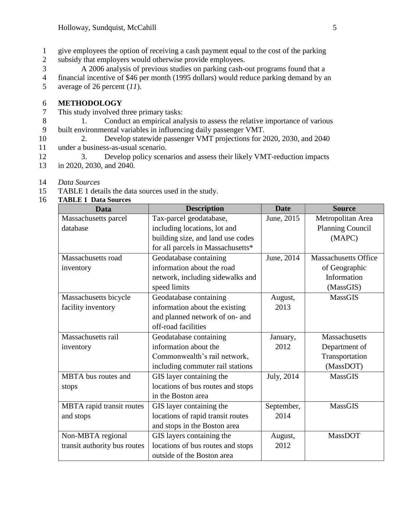- 1 give employees the option of receiving a cash payment equal to the cost of the parking
- 2 subsidy that employers would otherwise provide employees.
- 3 A 2006 analysis of previous studies on parking cash-out programs found that a
- 4 financial incentive of \$46 per month (1995 dollars) would reduce parking demand by an 5 average of 26 percent (*11*).

#### 6 **METHODOLOGY**

- 7 This study involved three primary tasks:
- 8 1. Conduct an empirical analysis to assess the relative importance of various 9 built environmental variables in influencing daily passenger VMT.
- 10 2. Develop statewide passenger VMT projections for 2020, 2030, and 2040 11 under a business-as-usual scenario.
- 12 3. Develop policy scenarios and assess their likely VMT-reduction impacts
- 13 in 2020, 2030, and 2040.
- 14 *Data Sources*
- 15 [TABLE 1](#page-4-0) details the data sources used in the study.

#### 16 **TABLE 1 Data Sources**

<span id="page-4-0"></span>

| <b>Data</b>                  | <b>Description</b>                | <b>Date</b> | <b>Source</b>               |
|------------------------------|-----------------------------------|-------------|-----------------------------|
| Massachusetts parcel         | Tax-parcel geodatabase,           | June, 2015  | Metropolitan Area           |
| database                     | including locations, lot and      |             | <b>Planning Council</b>     |
|                              | building size, and land use codes |             | (MAPC)                      |
|                              | for all parcels in Massachusetts* |             |                             |
| Massachusetts road           | Geodatabase containing            | June, 2014  | <b>Massachusetts Office</b> |
| inventory                    | information about the road        |             | of Geographic               |
|                              | network, including sidewalks and  |             | Information                 |
|                              | speed limits                      |             | (MassGIS)                   |
| Massachusetts bicycle        | Geodatabase containing            | August,     | MassGIS                     |
| facility inventory           | information about the existing    | 2013        |                             |
|                              | and planned network of on- and    |             |                             |
|                              | off-road facilities               |             |                             |
| Massachusetts rail           | Geodatabase containing            | January,    | Massachusetts               |
| inventory                    | information about the             | 2012        | Department of               |
|                              | Commonwealth's rail network,      |             | Transportation              |
|                              | including commuter rail stations  |             | (MassDOT)                   |
| MBTA bus routes and          | GIS layer containing the          | July, 2014  | <b>MassGIS</b>              |
| stops                        | locations of bus routes and stops |             |                             |
|                              | in the Boston area                |             |                             |
| MBTA rapid transit routes    | GIS layer containing the          | September,  | <b>MassGIS</b>              |
| and stops                    | locations of rapid transit routes | 2014        |                             |
|                              | and stops in the Boston area      |             |                             |
| Non-MBTA regional            | GIS layers containing the         | August,     | MassDOT                     |
| transit authority bus routes | locations of bus routes and stops | 2012        |                             |
|                              | outside of the Boston area        |             |                             |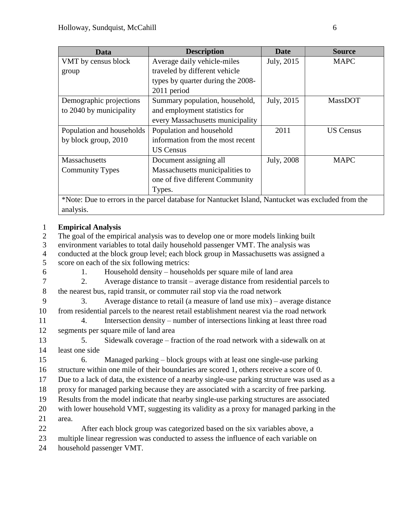| Data                                                                                              | <b>Description</b>                | <b>Date</b> | <b>Source</b>    |  |  |
|---------------------------------------------------------------------------------------------------|-----------------------------------|-------------|------------------|--|--|
| VMT by census block                                                                               | Average daily vehicle-miles       | July, 2015  | <b>MAPC</b>      |  |  |
| group                                                                                             | traveled by different vehicle     |             |                  |  |  |
|                                                                                                   | types by quarter during the 2008- |             |                  |  |  |
|                                                                                                   | 2011 period                       |             |                  |  |  |
| Demographic projections                                                                           | Summary population, household,    | July, 2015  | <b>MassDOT</b>   |  |  |
| to 2040 by municipality                                                                           | and employment statistics for     |             |                  |  |  |
|                                                                                                   | every Massachusetts municipality  |             |                  |  |  |
| Population and households                                                                         | Population and household          | 2011        | <b>US Census</b> |  |  |
| by block group, 2010                                                                              | information from the most recent  |             |                  |  |  |
|                                                                                                   | <b>US Census</b>                  |             |                  |  |  |
| Massachusetts                                                                                     | Document assigning all            | July, 2008  | <b>MAPC</b>      |  |  |
| <b>Community Types</b>                                                                            | Massachusetts municipalities to   |             |                  |  |  |
|                                                                                                   | one of five different Community   |             |                  |  |  |
|                                                                                                   | Types.                            |             |                  |  |  |
| *Note: Due to errors in the parcel database for Nantucket Island, Nantucket was excluded from the |                                   |             |                  |  |  |

#### 1 **Empirical Analysis**

analysis.

2 The goal of the empirical analysis was to develop one or more models linking built

- 3 environment variables to total daily household passenger VMT. The analysis was
- 4 conducted at the block group level; each block group in Massachusetts was assigned a 5 score on each of the six following metrics:
- 

6 1. Household density – households per square mile of land area

- 7 2. Average distance to transit average distance from residential parcels to 8 the nearest bus, rapid transit, or commuter rail stop via the road network
- 9 3. Average distance to retail (a measure of land use mix) average distance 10 from residential parcels to the nearest retail establishment nearest via the road network
- 11 4. Intersection density number of intersections linking at least three road 12 segments per square mile of land area

13 5. Sidewalk coverage – fraction of the road network with a sidewalk on at 14 least one side

15 6. Managed parking – block groups with at least one single-use parking 16 structure within one mile of their boundaries are scored 1, others receive a score of 0.

- 17 Due to a lack of data, the existence of a nearby single-use parking structure was used as a
- 18 proxy for managed parking because they are associated with a scarcity of free parking.
- 19 Results from the model indicate that nearby single-use parking structures are associated
- 20 with lower household VMT, suggesting its validity as a proxy for managed parking in the
- 21 area.

22 After each block group was categorized based on the six variables above, a 23 multiple linear regression was conducted to assess the influence of each variable on

24 household passenger VMT.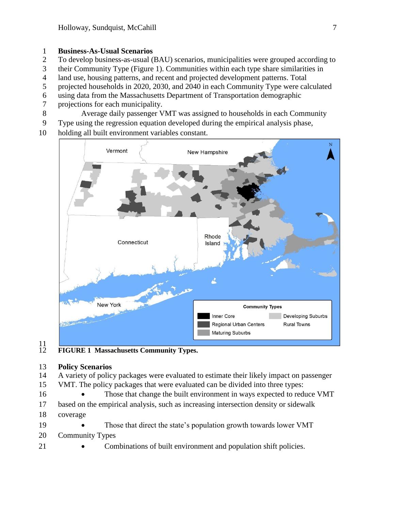#### **Business-As-Usual Scenarios**

- To develop business-as-usual (BAU) scenarios, municipalities were grouped according to
- their Community Type (Figure 1). Communities within each type share similarities in
- land use, housing patterns, and recent and projected development patterns. Total
- projected households in 2020, 2030, and 2040 in each Community Type were calculated
- using data from the Massachusetts Department of Transportation demographic
- projections for each municipality.
- Average daily passenger VMT was assigned to households in each Community
- Type using the regression equation developed during the empirical analysis phase,
- holding all built environment variables constant.



## $\frac{11}{12}$

**FIGURE 1 Massachusetts Community Types.**

#### **Policy Scenarios**

- A variety of policy packages were evaluated to estimate their likely impact on passenger VMT. The policy packages that were evaluated can be divided into three types:
- 16 Those that change the built environment in ways expected to reduce VMT
- based on the empirical analysis, such as increasing intersection density or sidewalk
- coverage
- 19 Those that direct the state's population growth towards lower VMT
- Community Types
- 
- **Combinations of built environment and population shift policies.**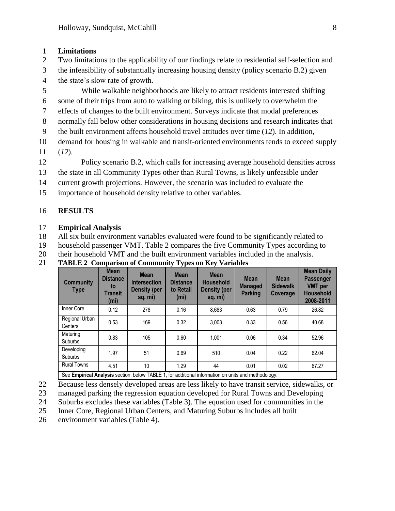#### 1 **Limitations**

- 2 Two limitations to the applicability of our findings relate to residential self-selection and
- 3 the infeasibility of substantially increasing housing density (policy scenario B.2) given 4 the state's slow rate of growth.
- 5 While walkable neighborhoods are likely to attract residents interested shifting
- 6 some of their trips from auto to walking or biking, this is unlikely to overwhelm the
- 7 effects of changes to the built environment. Surveys indicate that modal preferences
- 8 normally fall below other considerations in housing decisions and research indicates that
- 9 the built environment affects household travel attitudes over time (*12*). In addition,
- 10 demand for housing in walkable and transit-oriented environments tends to exceed supply
- 11 (*12*).
- 12 Policy scenario B.2, which calls for increasing average household densities across
- 13 the state in all Community Types other than Rural Towns, is likely unfeasible under
- 14 current growth projections. However, the scenario was included to evaluate the
- 15 importance of household density relative to other variables.

### 16 **RESULTS**

#### 17 **Empirical Analysis**

18 All six built environment variables evaluated were found to be significantly related to

19 household passenger VMT. Table 2 compares the five Community Types according to

20 their household VMT and the built environment variables included in the analysis.

21 **TABLE 2 Comparison of Community Types on Key Variables**

| <b>Community</b><br><b>Type</b>                                                                     | <b>Mean</b><br><b>Distance</b><br>to<br><b>Transit</b><br>(m <sub>i</sub> ) | <b>Mean</b><br><b>Intersection</b><br><b>Density (per</b><br>sq. mi) | <b>Mean</b><br><b>Distance</b><br>to Retail<br>(m <sub>i</sub> ) | <b>Mean</b><br><b>Household</b><br><b>Density (per</b><br>sq. mi) | <b>Mean</b><br><b>Managed</b><br><b>Parking</b> | <b>Mean</b><br><b>Sidewalk</b><br>Coverage | <b>Mean Daily</b><br><b>Passenger</b><br><b>VMT</b> per<br><b>Household</b><br>2008-2011 |
|-----------------------------------------------------------------------------------------------------|-----------------------------------------------------------------------------|----------------------------------------------------------------------|------------------------------------------------------------------|-------------------------------------------------------------------|-------------------------------------------------|--------------------------------------------|------------------------------------------------------------------------------------------|
| Inner Core                                                                                          | 0.12                                                                        | 278                                                                  | 0.16                                                             | 8,683                                                             | 0.63                                            | 0.79                                       | 26.82                                                                                    |
| Regional Urban<br>Centers                                                                           | 0.53                                                                        | 169                                                                  | 0.32                                                             | 3.003                                                             | 0.33                                            | 0.56                                       | 40.68                                                                                    |
| Maturing<br><b>Suburbs</b>                                                                          | 0.83                                                                        | 105                                                                  | 0.60                                                             | 1.001                                                             | 0.06                                            | 0.34                                       | 52.96                                                                                    |
| Developing<br><b>Suburbs</b>                                                                        | 1.97                                                                        | 51                                                                   | 0.69                                                             | 510                                                               | 0.04                                            | 0.22                                       | 62.04                                                                                    |
| <b>Rural Towns</b>                                                                                  | 4.51                                                                        | 10                                                                   | 1.29                                                             | 44                                                                | 0.01                                            | 0.02                                       | 67.27                                                                                    |
| See Empirical Analysis section, below TABLE 1, for additional information on units and methodology. |                                                                             |                                                                      |                                                                  |                                                                   |                                                 |                                            |                                                                                          |

- 22 Because less densely developed areas are less likely to have transit service, sidewalks, or
- 23 managed parking the regression equation developed for Rural Towns and Developing
- 24 Suburbs excludes these variables (Table 3). The equation used for communities in the
- 25 Inner Core, Regional Urban Centers, and Maturing Suburbs includes all built
- 26 environment variables (Table 4).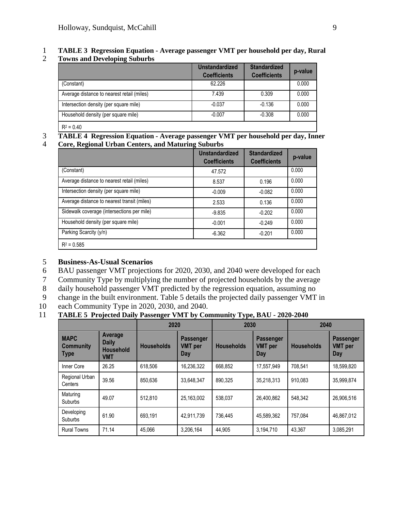# 1 **TABLE 3 Regression Equation - Average passenger VMT per household per day, Rural**

2 **Towns and Developing Suburbs**

|                                            | <b>Unstandardized</b><br><b>Coefficients</b> | <b>Standardized</b><br><b>Coefficients</b> | p-value |
|--------------------------------------------|----------------------------------------------|--------------------------------------------|---------|
| (Constant)                                 | 62.226                                       |                                            | 0.000   |
| Average distance to nearest retail (miles) | 7.439                                        | 0.309                                      | 0.000   |
| Intersection density (per square mile)     | $-0.037$                                     | $-0.136$                                   | 0.000   |
| Household density (per square mile)        | $-0.007$                                     | $-0.308$                                   | 0.000   |
| $R^2 = 0.40$                               |                                              |                                            |         |

# 3 **TABLE 4 Regression Equation - Average passenger VMT per household per day, Inner**

#### 4 **Core, Regional Urban Centers, and Maturing Suburbs**

| o                                           | o<br><b>Unstandardized</b><br><b>Coefficients</b> | <b>Standardized</b><br><b>Coefficients</b> | p-value |
|---------------------------------------------|---------------------------------------------------|--------------------------------------------|---------|
| (Constant)                                  | 47.572                                            |                                            | 0.000   |
| Average distance to nearest retail (miles)  | 8.537                                             | 0.196                                      | 0.000   |
| Intersection density (per square mile)      | $-0.009$                                          | $-0.082$                                   | 0.000   |
| Average distance to nearest transit (miles) | 2.533                                             | 0.136                                      | 0.000   |
| Sidewalk coverage (intersections per mile)  | $-9.835$                                          | $-0.202$                                   | 0.000   |
| Household density (per square mile)         | $-0.001$                                          | $-0.249$                                   | 0.000   |
| Parking Scarcity (y/n)                      | $-6.362$                                          | $-0.201$                                   | 0.000   |
| $R^2 = 0.585$                               |                                                   |                                            |         |

#### 5 **Business-As-Usual Scenarios**

- 6 BAU passenger VMT projections for 2020, 2030, and 2040 were developed for each
- 7 Community Type by multiplying the number of projected households by the average
- 8 daily household passenger VMT predicted by the regression equation, assuming no
- 9 change in the built environment. Table 5 details the projected daily passenger VMT in
- 10 each Community Type in 2020, 2030, and 2040.

#### 11 **TABLE 5 Projected Daily Passenger VMT by Community Type, BAU - 2020-2040**

|                                                |                                                           |                   | 2020                                      |                   | 2030                                             |                   | 2040                                      |  |
|------------------------------------------------|-----------------------------------------------------------|-------------------|-------------------------------------------|-------------------|--------------------------------------------------|-------------------|-------------------------------------------|--|
| <b>MAPC</b><br><b>Community</b><br><b>Type</b> | Average<br><b>Daily</b><br><b>Household</b><br><b>VMT</b> | <b>Households</b> | <b>Passenger</b><br><b>VMT</b> per<br>Day | <b>Households</b> | <b>Passenger</b><br><b>VMT</b> per<br><b>Day</b> | <b>Households</b> | <b>Passenger</b><br><b>VMT</b> per<br>Day |  |
| Inner Core                                     | 26.25                                                     | 618.506           | 16,236,322                                | 668,852           | 17,557,949                                       | 708,541           | 18,599,820                                |  |
| Regional Urban<br>Centers                      | 39.56                                                     | 850.636           | 33,648,347                                | 890.325           | 35,218,313                                       | 910.083           | 35,999,874                                |  |
| Maturing<br>Suburbs                            | 49.07                                                     | 512.810           | 25.163.002                                | 538.037           | 26.400.862                                       | 548.342           | 26,906,516                                |  |
| Developing<br>Suburbs                          | 61.90                                                     | 693.191           | 42.911.739                                | 736.445           | 45.589.362                                       | 757.084           | 46.867.012                                |  |
| <b>Rural Towns</b>                             | 71.14                                                     | 45.066            | 3,206,164                                 | 44.905            | 3,194,710                                        | 43.367            | 3,085,291                                 |  |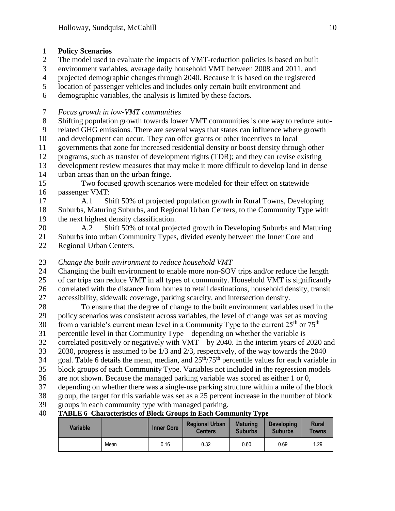#### **Policy Scenarios**

- The model used to evaluate the impacts of VMT-reduction policies is based on built
- environment variables, average daily household VMT between 2008 and 2011, and
- projected demographic changes through 2040. Because it is based on the registered
- location of passenger vehicles and includes only certain built environment and
- demographic variables, the analysis is limited by these factors.

### *Focus growth in low-VMT communities*

Shifting population growth towards lower VMT communities is one way to reduce auto-

- related GHG emissions. There are several ways that states can influence where growth
- and development can occur. They can offer grants or other incentives to local
- governments that zone for increased residential density or boost density through other
- programs, such as transfer of development rights (TDR); and they can revise existing
- development review measures that may make it more difficult to develop land in dense urban areas than on the urban fringe.
- Two focused growth scenarios were modeled for their effect on statewide passenger VMT:
- A.1 Shift 50% of projected population growth in Rural Towns, Developing Suburbs, Maturing Suburbs, and Regional Urban Centers, to the Community Type with the next highest density classification.
- A.2 Shift 50% of total projected growth in Developing Suburbs and Maturing Suburbs into urban Community Types, divided evenly between the Inner Core and Regional Urban Centers.
- *Change the built environment to reduce household VMT*
- 24 Changing the built environment to enable more non-SOV trips and/or reduce the length of car trips can reduce VMT in all types of community. Household VMT is significantly correlated with the distance from homes to retail destinations, household density, transit accessibility, sidewalk coverage, parking scarcity, and intersection density.
- To ensure that the degree of change to the built environment variables used in the policy scenarios was consistent across variables, the level of change was set as moving  $f$  from a variable's current mean level in a Community Type to the current  $25<sup>th</sup>$  or  $75<sup>th</sup>$
- percentile level in that Community Type—depending on whether the variable is
- correlated positively or negatively with VMT—by 2040. In the interim years of 2020 and
- 2030, progress is assumed to be 1/3 and 2/3, respectively, of the way towards the 2040
- 34 goal. Table 6 details the mean, median, and  $25<sup>th</sup>/75<sup>th</sup>$  percentile values for each variable in
- block groups of each Community Type. Variables not included in the regression models
- are not shown. Because the managed parking variable was scored as either 1 or 0,
- depending on whether there was a single-use parking structure within a mile of the block
- group, the target for this variable was set as a 25 percent increase in the number of block
- groups in each community type with managed parking.

## **TABLE 6 Characteristics of Block Groups in Each Community Type**

| <b>Variable</b> |      | <b>Inner Core</b> | <b>Regional Urban</b><br><b>Centers</b> | <b>Maturing</b><br><b>Suburbs</b> | <b>Developing</b><br><b>Suburbs</b> | Rural<br>Towns |
|-----------------|------|-------------------|-----------------------------------------|-----------------------------------|-------------------------------------|----------------|
|                 | Mean | 0.16              | 0.32                                    | 0.60                              | 0.69                                | 1.29           |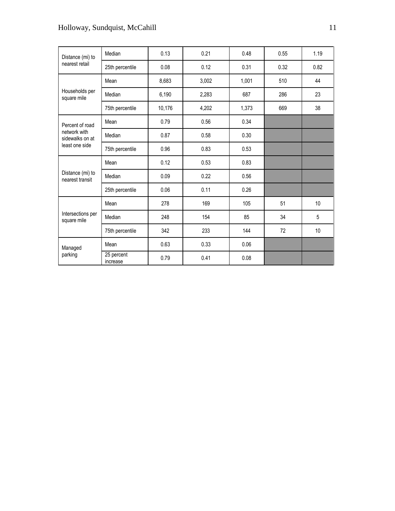## Holloway, Sundquist, McCahill 11

| Distance (mi) to                    | Median                 | 0.13   | 0.21  | 0.48  | 0.55 | 1.19           |
|-------------------------------------|------------------------|--------|-------|-------|------|----------------|
| nearest retail                      | 25th percentile        | 0.08   | 0.12  | 0.31  | 0.32 | 0.82           |
|                                     | Mean                   | 8,683  | 3,002 | 1,001 | 510  | 44             |
| Households per<br>square mile       | Median                 | 6,190  | 2,283 | 687   | 286  | 23             |
|                                     | 75th percentile        | 10,176 | 4,202 | 1,373 | 669  | 38             |
| Percent of road                     | Mean                   | 0.79   | 0.56  | 0.34  |      |                |
| network with<br>sidewalks on at     | Median                 | 0.87   | 0.58  | 0.30  |      |                |
| least one side                      | 75th percentile        | 0.96   | 0.83  | 0.53  |      |                |
|                                     | Mean                   | 0.12   | 0.53  | 0.83  |      |                |
| Distance (mi) to<br>nearest transit | Median                 | 0.09   | 0.22  | 0.56  |      |                |
|                                     | 25th percentile        | 0.06   | 0.11  | 0.26  |      |                |
|                                     | Mean                   | 278    | 169   | 105   | 51   | 10             |
| Intersections per<br>square mile    | Median                 | 248    | 154   | 85    | 34   | $\overline{5}$ |
|                                     | 75th percentile        | 342    | 233   | 144   | 72   | 10             |
| Managed                             | Mean                   | 0.63   | 0.33  | 0.06  |      |                |
| parking                             | 25 percent<br>increase | 0.79   | 0.41  | 0.08  |      |                |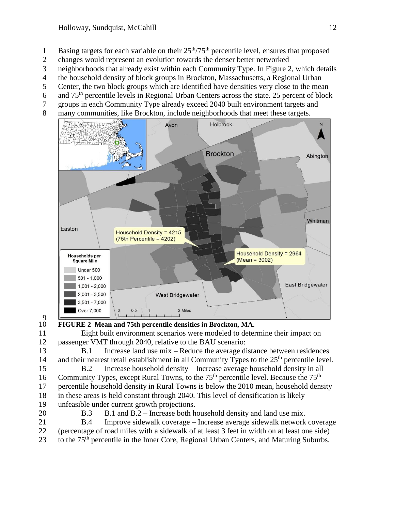- 1 Basing targets for each variable on their  $25<sup>th</sup>/75<sup>th</sup>$  percentile level, ensures that proposed
- changes would represent an evolution towards the denser better networked
- neighborhoods that already exist within each Community Type. In Figure 2, which details
- the household density of block groups in Brockton, Massachusetts, a Regional Urban
- Center, the two block groups which are identified have densities very close to the mean
- 6 and  $75<sup>th</sup>$  percentile levels in Regional Urban Centers across the state. 25 percent of block
- groups in each Community Type already exceed 2040 built environment targets and
- many communities, like Brockton, include neighborhoods that meet these targets.



 $\frac{9}{10}$ 

**FIGURE 2 Mean and 75th percentile densities in Brockton, MA.**

 Eight built environment scenarios were modeled to determine their impact on passenger VMT through 2040, relative to the BAU scenario:

 B.1 Increase land use mix – Reduce the average distance between residences 14 and their nearest retail establishment in all Community Types to the  $25<sup>th</sup>$  percentile level.

 B.2 Increase household density – Increase average household density in all 16 Community Types, except Rural Towns, to the  $75<sup>th</sup>$  percentile level. Because the  $75<sup>th</sup>$  percentile household density in Rural Towns is below the 2010 mean, household density in these areas is held constant through 2040. This level of densification is likely unfeasible under current growth projections.

B.3 B.1 and B.2 – Increase both household density and land use mix.

 B.4 Improve sidewalk coverage – Increase average sidewalk network coverage (percentage of road miles with a sidewalk of at least 3 feet in width on at least one side)

23 to the 75<sup>th</sup> percentile in the Inner Core, Regional Urban Centers, and Maturing Suburbs.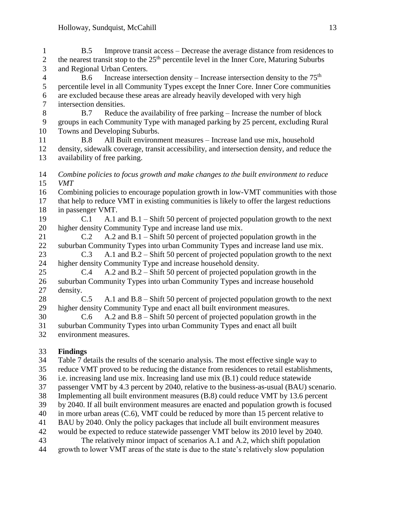B.5 Improve transit access – Decrease the average distance from residences to 2 the nearest transit stop to the  $25<sup>th</sup>$  percentile level in the Inner Core, Maturing Suburbs and Regional Urban Centers.

 $\mu$  B.6 Increase intersection density – Increase intersection density to the 75<sup>th</sup> percentile level in all Community Types except the Inner Core. Inner Core communities are excluded because these areas are already heavily developed with very high intersection densities.

 B.7 Reduce the availability of free parking – Increase the number of block groups in each Community Type with managed parking by 25 percent, excluding Rural Towns and Developing Suburbs.

 B.8 All Built environment measures – Increase land use mix, household density, sidewalk coverage, transit accessibility, and intersection density, and reduce the availability of free parking.

 *Combine policies to focus growth and make changes to the built environment to reduce VMT*

- Combining policies to encourage population growth in low-VMT communities with those
- that help to reduce VMT in existing communities is likely to offer the largest reductions in passenger VMT.
- C.1 A.1 and B.1 Shift 50 percent of projected population growth to the next higher density Community Type and increase land use mix.
- C.2 A.2 and B.1 Shift 50 percent of projected population growth in the suburban Community Types into urban Community Types and increase land use mix.
- C.3 A.1 and B.2 Shift 50 percent of projected population growth to the next higher density Community Type and increase household density.
- C.4 A.2 and B.2 Shift 50 percent of projected population growth in the suburban Community Types into urban Community Types and increase household density.
- C.5 A.1 and B.8 Shift 50 percent of projected population growth to the next higher density Community Type and enact all built environment measures.
- C.6 A.2 and B.8 Shift 50 percent of projected population growth in the suburban Community Types into urban Community Types and enact all built
- environment measures.

### **Findings**

Table 7 details the results of the scenario analysis. The most effective single way to

- reduce VMT proved to be reducing the distance from residences to retail establishments,
- i.e. increasing land use mix. Increasing land use mix (B.1) could reduce statewide
- passenger VMT by 4.3 percent by 2040, relative to the business-as-usual (BAU) scenario.
- Implementing all built environment measures (B.8) could reduce VMT by 13.6 percent
- by 2040. If all built environment measures are enacted and population growth is focused
- in more urban areas (C.6), VMT could be reduced by more than 15 percent relative to
- BAU by 2040. Only the policy packages that include all built environment measures
- would be expected to reduce statewide passenger VMT below its 2010 level by 2040.
- The relatively minor impact of scenarios A.1 and A.2, which shift population
- growth to lower VMT areas of the state is due to the state's relatively slow population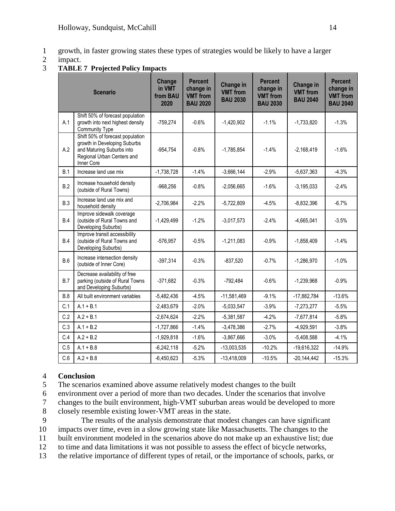- 1 growth, in faster growing states these types of strategies would be likely to have a larger
- 2 impact.
- 3 **TABLE 7 Projected Policy Impacts**

| <b>Scenario</b> |                                                                                                                                           | Change<br>in VMT<br>from BAU<br>2020 | <b>Percent</b><br>change in<br><b>VMT</b> from<br><b>BAU 2020</b> | Change in<br><b>VMT</b> from<br><b>BAU 2030</b> | <b>Percent</b><br>change in<br><b>VMT</b> from<br><b>BAU 2030</b> | <b>Change in</b><br><b>VMT</b> from<br><b>BAU 2040</b> | <b>Percent</b><br>change in<br><b>VMT</b> from<br><b>BAU 2040</b> |
|-----------------|-------------------------------------------------------------------------------------------------------------------------------------------|--------------------------------------|-------------------------------------------------------------------|-------------------------------------------------|-------------------------------------------------------------------|--------------------------------------------------------|-------------------------------------------------------------------|
| A.1             | Shift 50% of forecast population<br>growth into next highest density<br>Community Type                                                    | $-759,274$                           | $-0.6%$                                                           | $-1,420,902$                                    | $-1.1%$                                                           | $-1,733,820$                                           | $-1.3%$                                                           |
| A.2             | Shift 50% of forecast population<br>growth in Developing Suburbs<br>and Maturing Suburbs into<br>Regional Urban Centers and<br>Inner Core | $-954,754$                           | $-0.8%$                                                           | $-1,785,854$                                    | $-1.4%$                                                           | $-2,168,419$                                           | $-1.6%$                                                           |
| B.1             | Increase land use mix                                                                                                                     | $-1,738,728$                         | $-1.4%$                                                           | $-3,666,144$                                    | $-2.9%$                                                           | $-5,637,363$                                           | $-4.3%$                                                           |
| B.2             | Increase household density<br>(outside of Rural Towns)                                                                                    | $-968,256$                           | $-0.8%$                                                           | $-2,056,665$                                    | $-1.6%$                                                           | $-3,195,033$                                           | $-2.4%$                                                           |
| B.3             | Increase land use mix and<br>household density                                                                                            | $-2,706,984$                         | $-2.2%$                                                           | $-5,722,809$                                    | $-4.5%$                                                           | $-8,832,396$                                           | $-6.7%$                                                           |
| B.4             | Improve sidewalk coverage<br>(outside of Rural Towns and<br>Developing Suburbs)                                                           | $-1,429,499$                         | $-1.2%$                                                           | $-3,017,573$                                    | $-2.4%$                                                           | $-4,665,041$                                           | $-3.5%$                                                           |
| B.4             | Improve transit accessibility<br>(outside of Rural Towns and<br>Developing Suburbs)                                                       | $-576,957$                           | $-0.5%$                                                           | $-1,211,083$                                    | $-0.9%$                                                           | $-1,858,409$                                           | $-1.4%$                                                           |
| B.6             | Increase intersection density<br>(outside of Inner Core)                                                                                  | $-397,314$                           | $-0.3%$                                                           | $-837,520$                                      | $-0.7%$                                                           | $-1,286,970$                                           | $-1.0%$                                                           |
| B.7             | Decrease availability of free<br>parking (outside of Rural Towns<br>and Developing Suburbs)                                               | $-371,682$                           | $-0.3%$                                                           | -792,484                                        | $-0.6%$                                                           | $-1,239,968$                                           | $-0.9%$                                                           |
| B.8             | All built environment variables                                                                                                           | $-5,482,436$                         | $-4.5%$                                                           | $-11,581,469$                                   | $-9.1%$                                                           | $-17,882,784$                                          | $-13.6%$                                                          |
| C.1             | $A.1 + B.1$                                                                                                                               | $-2,483,679$                         | $-2.0%$                                                           | $-5,033,547$                                    | $-3.9%$                                                           | $-7,273,277$                                           | $-5.5%$                                                           |
| C.2             | $A.2 + B.1$                                                                                                                               | $-2,674,624$                         | $-2.2%$                                                           | $-5,381,587$                                    | $-4.2%$                                                           | $-7,677,814$                                           | $-5.8%$                                                           |
| C.3             | $A.1 + B.2$                                                                                                                               | $-1,727,866$                         | $-1.4%$                                                           | $-3,478,386$                                    | $-2.7%$                                                           | $-4,929,591$                                           | $-3.8%$                                                           |
| C.4             | $A.2 + B.2$                                                                                                                               | $-1,929,818$                         | $-1.6%$                                                           | $-3,867,666$                                    | $-3.0%$                                                           | $-5,408,588$                                           | $-4.1%$                                                           |
| C.5             | $A.1 + B.8$                                                                                                                               | $-6,242,118$                         | $-5.2%$                                                           | $-13,003,535$                                   | $-10.2%$                                                          | $-19,616,322$                                          | $-14.9%$                                                          |
| C.6             | $A.2 + B.8$                                                                                                                               | $-6,450,623$                         | $-5.3%$                                                           | $-13,418,009$                                   | $-10.5%$                                                          | $-20,144,442$                                          | $-15.3%$                                                          |

#### 4 **Conclusion**

- 5 The scenarios examined above assume relatively modest changes to the built
- 6 environment over a period of more than two decades. Under the scenarios that involve
- 7 changes to the built environment, high-VMT suburban areas would be developed to more
- 8 closely resemble existing lower-VMT areas in the state.
- 9 The results of the analysis demonstrate that modest changes can have significant
- 10 impacts over time, even in a slow growing state like Massachusetts. The changes to the
- 11 built environment modeled in the scenarios above do not make up an exhaustive list; due
- 12 to time and data limitations it was not possible to assess the effect of bicycle networks,
- 13 the relative importance of different types of retail, or the importance of schools, parks, or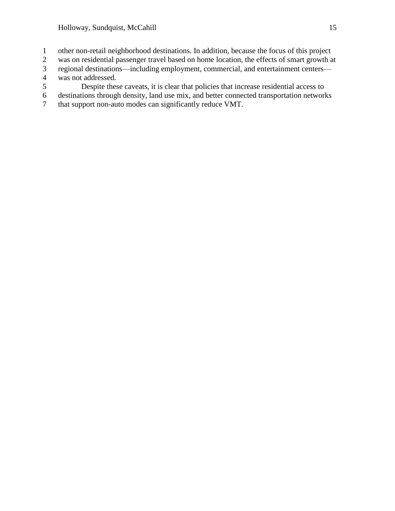- 1 other non-retail neighborhood destinations. In addition, because the focus of this project<br>2 was on residential passenger travel based on home location, the effects of smart growth a
- was on residential passenger travel based on home location, the effects of smart growth at
- 3 regional destinations—including employment, commercial, and entertainment centers—
- 4 was not addressed.<br>5 Despite thes 5 Despite these caveats, it is clear that policies that increase residential access to destinations through density, land use mix, and better connected transportation network
- 6 destinations through density, land use mix, and better connected transportation networks<br>7 that support non-auto modes can significantly reduce VMT.
- that support non-auto modes can significantly reduce VMT.